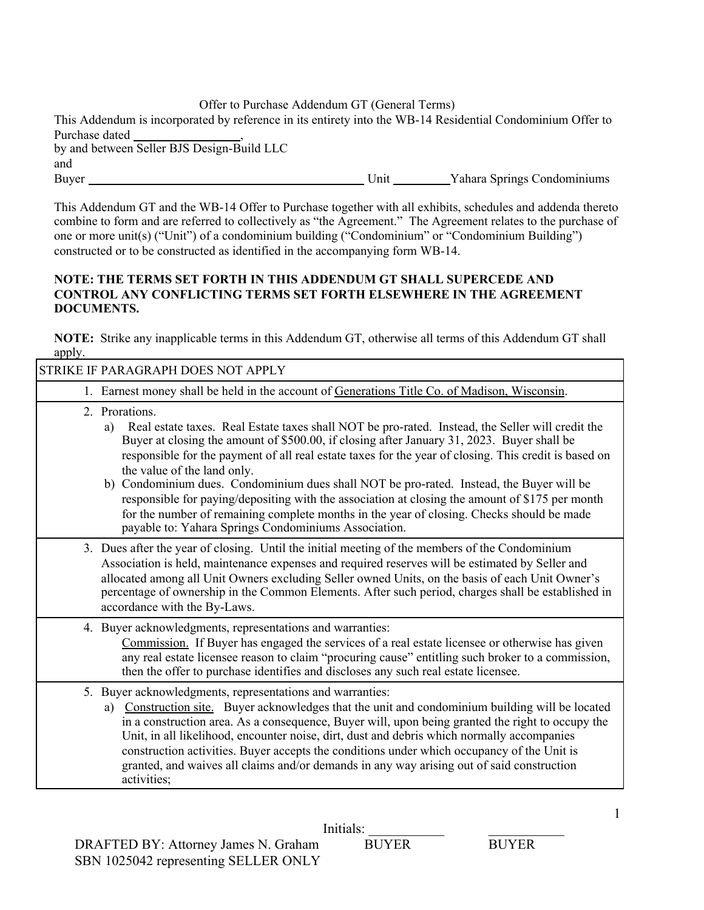Offer to Purchase Addendum GT (General Terms)

| This Addendum is incorporated by reference in its entirety into the WB-14 Residential Condominium Offer to |      |                             |
|------------------------------------------------------------------------------------------------------------|------|-----------------------------|
| Purchase dated                                                                                             |      |                             |
| by and between Seller BJS Design-Build LLC                                                                 |      |                             |
| and                                                                                                        |      |                             |
| Buyer                                                                                                      | Unit | Yahara Springs Condominiums |

This Addendum GT and the WB-14 Offer to Purchase together with all exhibits, schedules and addenda thereto combine to form and are referred to collectively as "the Agreement." The Agreement relates to the purchase of one or more unit(s) ("Unit") of a condominium building ("Condominium" or "Condominium Building") constructed or to be constructed as identified in the accompanying form WB-14.

## **NOTE: THE TERMS SET FORTH IN THIS ADDENDUM GT SHALL SUPERCEDE AND CONTROL ANY CONFLICTING TERMS SET FORTH ELSEWHERE IN THE AGREEMENT DOCUMENTS.**

**NOTE:** Strike any inapplicable terms in this Addendum GT, otherwise all terms of this Addendum GT shall apply.

| STRIKE IF PARAGRAPH DOES NOT APPLY                                                                                                                                                                                                                                                                                                                                                                                                                                                                                                                                                                                                                                                                                 |
|--------------------------------------------------------------------------------------------------------------------------------------------------------------------------------------------------------------------------------------------------------------------------------------------------------------------------------------------------------------------------------------------------------------------------------------------------------------------------------------------------------------------------------------------------------------------------------------------------------------------------------------------------------------------------------------------------------------------|
| 1. Earnest money shall be held in the account of Generations Title Co. of Madison, Wisconsin.                                                                                                                                                                                                                                                                                                                                                                                                                                                                                                                                                                                                                      |
| 2. Prorations.<br>Real estate taxes. Real Estate taxes shall NOT be pro-rated. Instead, the Seller will credit the<br>a)<br>Buyer at closing the amount of \$500.00, if closing after January 31, 2023. Buyer shall be<br>responsible for the payment of all real estate taxes for the year of closing. This credit is based on<br>the value of the land only.<br>b) Condominium dues. Condominium dues shall NOT be pro-rated. Instead, the Buyer will be<br>responsible for paying/depositing with the association at closing the amount of \$175 per month<br>for the number of remaining complete months in the year of closing. Checks should be made<br>payable to: Yahara Springs Condominiums Association. |
| 3. Dues after the year of closing. Until the initial meeting of the members of the Condominium<br>Association is held, maintenance expenses and required reserves will be estimated by Seller and<br>allocated among all Unit Owners excluding Seller owned Units, on the basis of each Unit Owner's<br>percentage of ownership in the Common Elements. After such period, charges shall be established in<br>accordance with the By-Laws.                                                                                                                                                                                                                                                                         |
| 4. Buyer acknowledgments, representations and warranties:<br>Commission. If Buyer has engaged the services of a real estate licensee or otherwise has given<br>any real estate licensee reason to claim "procuring cause" entitling such broker to a commission,<br>then the offer to purchase identifies and discloses any such real estate licensee.                                                                                                                                                                                                                                                                                                                                                             |
| 5. Buyer acknowledgments, representations and warranties:<br>a) Construction site. Buyer acknowledges that the unit and condominium building will be located<br>in a construction area. As a consequence, Buyer will, upon being granted the right to occupy the<br>Unit, in all likelihood, encounter noise, dirt, dust and debris which normally accompanies<br>construction activities. Buyer accepts the conditions under which occupancy of the Unit is<br>granted, and waives all claims and/or demands in any way arising out of said construction<br>activities;                                                                                                                                           |

1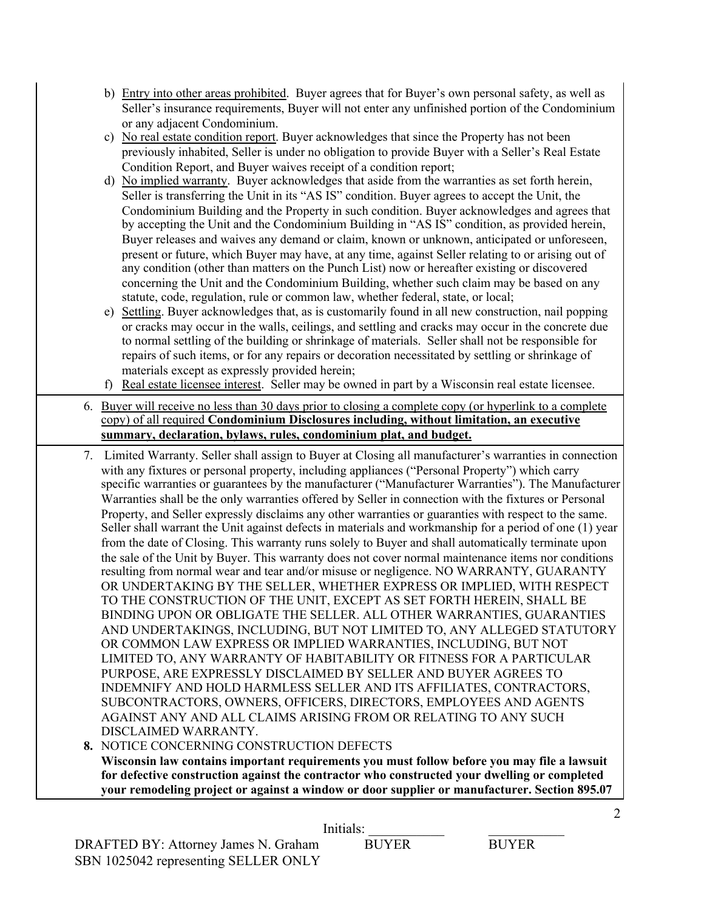- b) Entry into other areas prohibited. Buyer agrees that for Buyer's own personal safety, as well as Seller's insurance requirements, Buyer will not enter any unfinished portion of the Condominium or any adjacent Condominium.
- c) No real estate condition report. Buyer acknowledges that since the Property has not been previously inhabited, Seller is under no obligation to provide Buyer with a Seller's Real Estate Condition Report, and Buyer waives receipt of a condition report;
- d) No implied warranty. Buyer acknowledges that aside from the warranties as set forth herein, Seller is transferring the Unit in its "AS IS" condition. Buyer agrees to accept the Unit, the Condominium Building and the Property in such condition. Buyer acknowledges and agrees that by accepting the Unit and the Condominium Building in "AS IS" condition, as provided herein, Buyer releases and waives any demand or claim, known or unknown, anticipated or unforeseen, present or future, which Buyer may have, at any time, against Seller relating to or arising out of any condition (other than matters on the Punch List) now or hereafter existing or discovered concerning the Unit and the Condominium Building, whether such claim may be based on any statute, code, regulation, rule or common law, whether federal, state, or local;
- e) Settling. Buyer acknowledges that, as is customarily found in all new construction, nail popping or cracks may occur in the walls, ceilings, and settling and cracks may occur in the concrete due to normal settling of the building or shrinkage of materials. Seller shall not be responsible for repairs of such items, or for any repairs or decoration necessitated by settling or shrinkage of materials except as expressly provided herein;

f) Real estate licensee interest. Seller may be owned in part by a Wisconsin real estate licensee.

- 6. Buyer will receive no less than 30 days prior to closing a complete copy (or hyperlink to a complete copy) of all required **Condominium Disclosures including, without limitation, an executive summary, declaration, bylaws, rules, condominium plat, and budget.**
- 7. Limited Warranty. Seller shall assign to Buyer at Closing all manufacturer's warranties in connection with any fixtures or personal property, including appliances ("Personal Property") which carry specific warranties or guarantees by the manufacturer ("Manufacturer Warranties"). The Manufacturer Warranties shall be the only warranties offered by Seller in connection with the fixtures or Personal Property, and Seller expressly disclaims any other warranties or guaranties with respect to the same. Seller shall warrant the Unit against defects in materials and workmanship for a period of one (1) year from the date of Closing. This warranty runs solely to Buyer and shall automatically terminate upon the sale of the Unit by Buyer. This warranty does not cover normal maintenance items nor conditions resulting from normal wear and tear and/or misuse or negligence. NO WARRANTY, GUARANTY OR UNDERTAKING BY THE SELLER, WHETHER EXPRESS OR IMPLIED, WITH RESPECT TO THE CONSTRUCTION OF THE UNIT, EXCEPT AS SET FORTH HEREIN, SHALL BE BINDING UPON OR OBLIGATE THE SELLER. ALL OTHER WARRANTIES, GUARANTIES AND UNDERTAKINGS, INCLUDING, BUT NOT LIMITED TO, ANY ALLEGED STATUTORY OR COMMON LAW EXPRESS OR IMPLIED WARRANTIES, INCLUDING, BUT NOT LIMITED TO, ANY WARRANTY OF HABITABILITY OR FITNESS FOR A PARTICULAR PURPOSE, ARE EXPRESSLY DISCLAIMED BY SELLER AND BUYER AGREES TO INDEMNIFY AND HOLD HARMLESS SELLER AND ITS AFFILIATES, CONTRACTORS, SUBCONTRACTORS, OWNERS, OFFICERS, DIRECTORS, EMPLOYEES AND AGENTS AGAINST ANY AND ALL CLAIMS ARISING FROM OR RELATING TO ANY SUCH DISCLAIMED WARRANTY.

**8.** NOTICE CONCERNING CONSTRUCTION DEFECTS **Wisconsin law contains important requirements you must follow before you may file a lawsuit for defective construction against the contractor who constructed your dwelling or completed your remodeling project or against a window or door supplier or manufacturer. Section 895.07** 

 $\mathcal{L}$